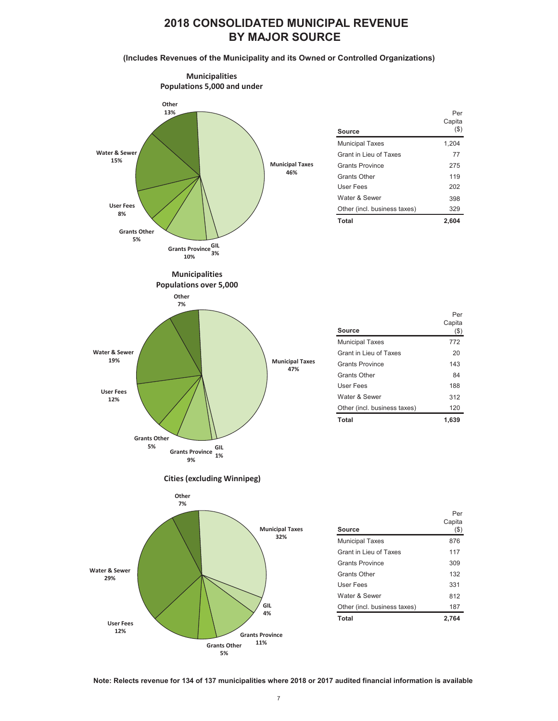## **2018 CONSOLIDATED MUNICIPAL REVENUE BY MAJOR SOURCE**

**(Includes Revenues of the Municipality and its Owned or Controlled Organizations)**



**Note: Relects revenue for 134 of 137 municipalities where 2018 or 2017 audited financial information is available** 

**11% Grants Other 5%**